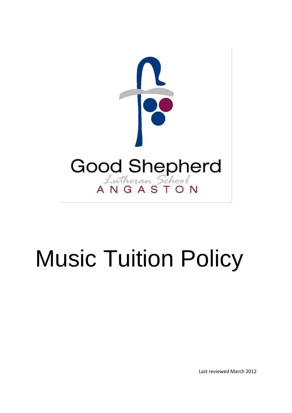

# Music Tuition Policy

Last reviewed March 2012